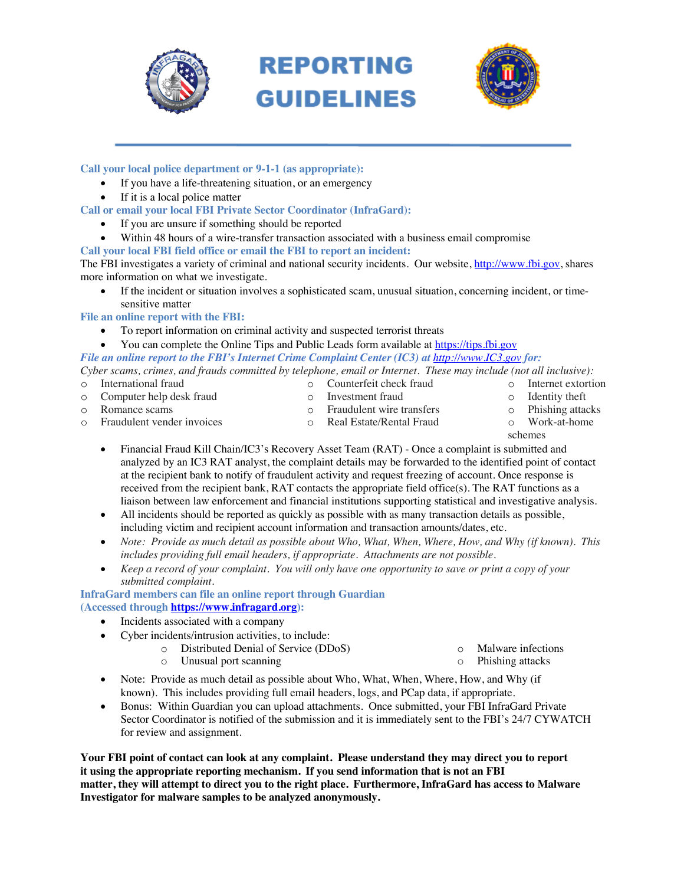

# **REPORTING GUIDELINES**



**Call your local police department or 9-1-1 (as appropriate):**

- If you have a life-threatening situation, or an emergency
- If it is a local police matter

**Call or email your local FBI Private Sector Coordinator (InfraGard):**

- If you are unsure if something should be reported
- Within 48 hours of a wire-transfer transaction associated with a business email compromise
- **Call your local FBI field office or email the FBI to report an incident:**

The FBI investigates a variety of criminal and national security incidents. Our website, http://www.fbi.gov, shares more information on what we investigate.

• If the incident or situation involves a sophisticated scam, unusual situation, concerning incident, or timesensitive matter

**File an online report with the FBI:**

- To report information on criminal activity and suspected terrorist threats
- You can complete the Online Tips and Public Leads form available at https://tips.fbi.gov *File an online report to the FBI's Internet Crime Complaint Center (IC3) at http://www.IC3.gov for:*

*Cyber scams, crimes, and frauds committed by telephone, email or Internet. These may include (not all inclusive):*

o International fraud

o Fraudulent vender invoices

- o Counterfeit check fraud
- o Internet extortion o Identity theft
- o Computer help desk fraud o Romance scams
- o Investment fraud o Fraudulent wire transfers
- o Phishing attacks
- o Real Estate/Rental Fraud
- o Work-at-home
- schemes
- Financial Fraud Kill Chain/IC3's Recovery Asset Team (RAT) Once a complaint is submitted and analyzed by an IC3 RAT analyst, the complaint details may be forwarded to the identified point of contact at the recipient bank to notify of fraudulent activity and request freezing of account. Once response is received from the recipient bank, RAT contacts the appropriate field office(s). The RAT functions as a liaison between law enforcement and financial institutions supporting statistical and investigative analysis.
- All incidents should be reported as quickly as possible with as many transaction details as possible, including victim and recipient account information and transaction amounts/dates, etc.
- *Note: Provide as much detail as possible about Who, What, When, Where, How, and Why (if known). This includes providing full email headers, if appropriate. Attachments are not possible.*
- *Keep a record of your complaint. You will only have one opportunity to save or print a copy of your submitted complaint.*

**InfraGard members can file an online report through Guardian (Accessed through https://www.infragard.org):**

- Incidents associated with a company
- Cyber incidents/intrusion activities, to include:

o Unusual port scanning

| $\circ$ | Distributed Denial of Service (DDoS) |  |
|---------|--------------------------------------|--|

- 
- o Malware infections o Phishing attacks
- Note: Provide as much detail as possible about Who, What, When, Where, How, and Why (if known). This includes providing full email headers, logs, and PCap data, if appropriate.
- Bonus: Within Guardian you can upload attachments. Once submitted, your FBI InfraGard Private Sector Coordinator is notified of the submission and it is immediately sent to the FBI's 24/7 CYWATCH for review and assignment.

**Your FBI point of contact can look at any complaint. Please understand they may direct you to report it using the appropriate reporting mechanism. If you send information that is not an FBI matter, they will attempt to direct you to the right place. Furthermore, InfraGard has access to Malware Investigator for malware samples to be analyzed anonymously.**